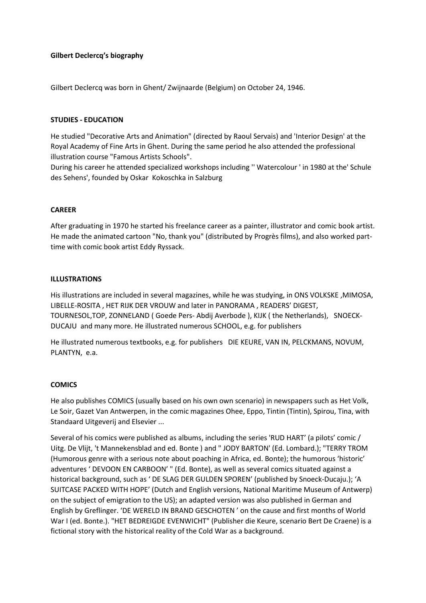# Gilbert Declercq's biography

Gilbert Declercq was born in Ghent/ Zwijnaarde (Belgium) on October 24, 1946.

#### STUDIES - EDUCATION

He studied "Decorative Arts and Animation" (directed by Raoul Servais) and 'Interior Design' at the Royal Academy of Fine Arts in Ghent. During the same period he also attended the professional illustration course "Famous Artists Schools".

During his career he attended specialized workshops including '' Watercolour ' in 1980 at the' Schule des Sehens', founded by Oskar Kokoschka in Salzburg

#### CAREER

After graduating in 1970 he started his freelance career as a painter, illustrator and comic book artist. He made the animated cartoon "No, thank you" (distributed by Progrès films), and also worked parttime with comic book artist Eddy Ryssack.

#### ILLUSTRATIONS

His illustrations are included in several magazines, while he was studying, in ONS VOLKSKE ,MIMOSA, LIBELLE-ROSITA , HET RIJK DER VROUW and later in PANORAMA , READERS' DIGEST, TOURNESOL,TOP, ZONNELAND ( Goede Pers- Abdij Averbode ), KIJK ( the Netherlands), SNOECK-DUCAJU and many more. He illustrated numerous SCHOOL, e.g. for publishers

He illustrated numerous textbooks, e.g. for publishers DIE KEURE, VAN IN, PELCKMANS, NOVUM, PLANTYN, e.a.

#### COMICS

He also publishes COMICS (usually based on his own own scenario) in newspapers such as Het Volk, Le Soir, Gazet Van Antwerpen, in the comic magazines Ohee, Eppo, Tintin (Tintin), Spirou, Tina, with Standaard Uitgeverij and Elsevier ...

Several of his comics were published as albums, including the series 'RUD HART' (a pilots' comic / Uitg. De Vlijt, 't Mannekensblad and ed. Bonte ) and " JODY BARTON' (Ed. Lombard.); "TERRY TROM (Humorous genre with a serious note about poaching in Africa, ed. Bonte); the humorous 'historic' adventures ' DEVOON EN CARBOON' " (Ed. Bonte), as well as several comics situated against a historical background, such as ' DE SLAG DER GULDEN SPOREN' (published by Snoeck-Ducaju.); 'A SUITCASE PACKED WITH HOPE' (Dutch and English versions, National Maritime Museum of Antwerp) on the subject of emigration to the US); an adapted version was also published in German and English by Greflinger. 'DE WERELD IN BRAND GESCHOTEN ' on the cause and first months of World War I (ed. Bonte.). "HET BEDREIGDE EVENWICHT" (Publisher die Keure, scenario Bert De Craene) is a fictional story with the historical reality of the Cold War as a background.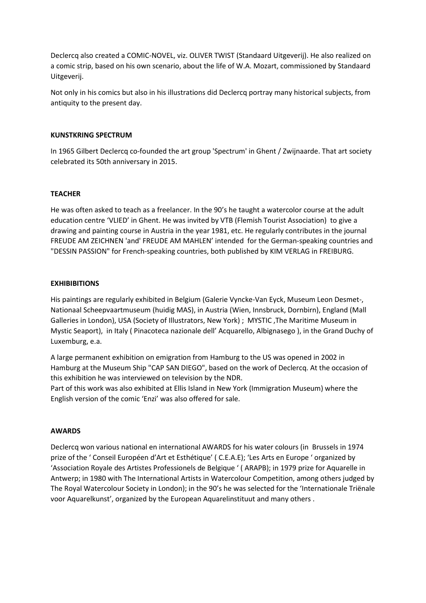Declercq also created a COMIC-NOVEL, viz. OLIVER TWIST (Standaard Uitgeverij). He also realized on a comic strip, based on his own scenario, about the life of W.A. Mozart, commissioned by Standaard Uitgeverij.

Not only in his comics but also in his illustrations did Declercq portray many historical subjects, from antiquity to the present day.

#### KUNSTKRING SPECTRUM

In 1965 Gilbert Declercq co-founded the art group 'Spectrum' in Ghent / Zwijnaarde. That art society celebrated its 50th anniversary in 2015.

# **TEACHER**

He was often asked to teach as a freelancer. In the 90's he taught a watercolor course at the adult education centre 'VLIED' in Ghent. He was invited by VTB (Flemish Tourist Association) to give a drawing and painting course in Austria in the year 1981, etc. He regularly contributes in the journal FREUDE AM ZEICHNEN 'and' FREUDE AM MAHLEN' intended for the German-speaking countries and "DESSIN PASSION" for French-speaking countries, both published by KIM VERLAG in FREIBURG.

# **EXHIBIBITIONS**

His paintings are regularly exhibited in Belgium (Galerie Vyncke-Van Eyck, Museum Leon Desmet-, Nationaal Scheepvaartmuseum (huidig MAS), in Austria (Wien, Innsbruck, Dornbirn), England (Mall Galleries in London), USA (Society of Illustrators, New York) ; MYSTIC ,The Maritime Museum in Mystic Seaport), in Italy ( Pinacoteca nazionale dell' Acquarello, Albignasego ), in the Grand Duchy of Luxemburg, e.a.

A large permanent exhibition on emigration from Hamburg to the US was opened in 2002 in Hamburg at the Museum Ship "CAP SAN DIEGO", based on the work of Declercq. At the occasion of this exhibition he was interviewed on television by the NDR.

Part of this work was also exhibited at Ellis Island in New York (Immigration Museum) where the English version of the comic 'Enzi' was also offered for sale.

#### AWARDS

Declercq won various national en international AWARDS for his water colours (in Brussels in 1974 prize of the ' Conseil Européen d'Art et Esthétique' ( C.E.A.E); 'Les Arts en Europe ' organized by 'Association Royale des Artistes Professionels de Belgique ' ( ARAPB); in 1979 prize for Aquarelle in Antwerp; in 1980 with The International Artists in Watercolour Competition, among others judged by The Royal Watercolour Society in London); in the 90's he was selected for the 'Internationale Triënale voor Aquarelkunst', organized by the European Aquarelinstituut and many others .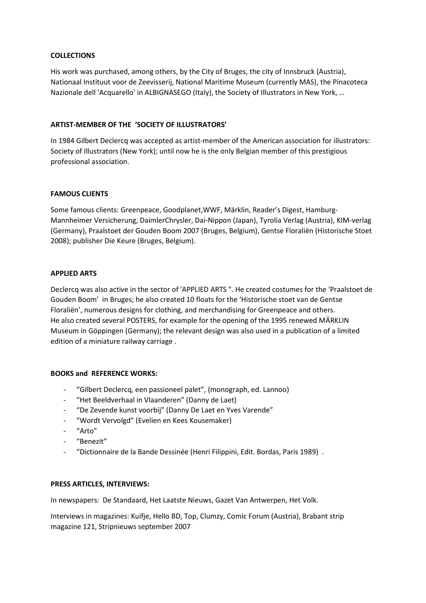## **COLLECTIONS**

His work was purchased, among others, by the City of Bruges, the city of Innsbruck (Austria), Nationaal Instituut voor de Zeevisserij, National Maritime Museum (currently MAS), the Pinacoteca Nazionale dell 'Acquarello' in ALBIGNASEGO (Italy), the Society of Illustrators in New York, …

#### ARTIST-MEMBER OF THE 'SOCIETY OF ILLUSTRATORS'

In 1984 Gilbert Declercq was accepted as artist-member of the American association for illustrators: Society of Illustrators (New York); until now he is the only Belgian member of this prestigious professional association.

# FAMOUS CLIENTS

Some famous clients: Greenpeace, Goodplanet,WWF, Märklin, Reader's Digest, Hamburg-Mannheimer Versicherung, DaimlerChrysler, Dai-Nippon (Japan), Tyrolia Verlag (Austria), KIM-verlag (Germany), Praalstoet der Gouden Boom 2007 (Bruges, Belgium), Gentse Floraliën (Historische Stoet 2008); publisher Die Keure (Bruges, Belgium).

# APPLIED ARTS

Declercq was also active in the sector of 'APPLIED ARTS ". He created costumes for the 'Praalstoet de Gouden Boom' in Bruges; he also created 10 floats for the 'Historische stoet van de Gentse Floraliën', numerous designs for clothing, and merchandising for Greenpeace and others. He also created several POSTERS, for example for the opening of the 1995 renewed MÄRKLIN Museum in Göppingen (Germany); the relevant design was also used in a publication of a limited edition of a miniature railway carriage .

# BOOKS and REFERENCE WORKS:

- "Gilbert Declercq, een passioneel palet", (monograph, ed. Lannoo)
- "Het Beeldverhaal in Vlaanderen" (Danny de Laet)
- "De Zevende kunst voorbij" (Danny De Laet en Yves Varende"
- "Wordt Vervolgd" (Evelien en Kees Kousemaker)
- "Arto"
- "Benezit"
- "Dictionnaire de la Bande Dessinée (Henri Filippini, Edit. Bordas, Paris 1989) .

#### PRESS ARTICLES, INTERVIEWS:

In newspapers: De Standaard, Het Laatste Nieuws, Gazet Van Antwerpen, Het Volk.

Interviews in magazines: Kuifje, Hello BD, Top, Clumzy, Comic Forum (Austria), Brabant strip magazine 121, Stripnieuws september 2007